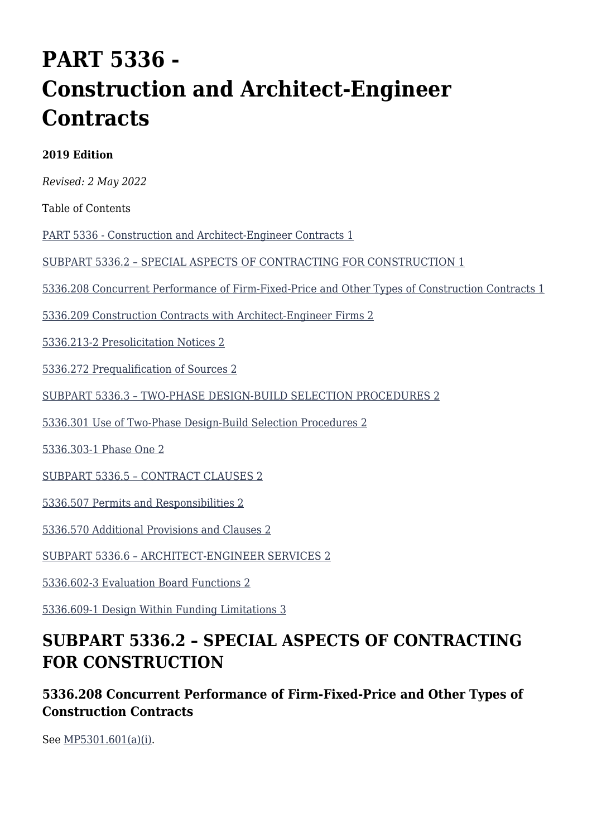# **PART 5336 - Construction and Architect-Engineer Contracts**

#### **2019 Edition**

*Revised: 2 May 2022*

Table of Contents

[PART 5336 - Construction and Architect-Engineer Contracts 1](#page--1-0)

[SUBPART 5336.2 – SPECIAL ASPECTS OF CONTRACTING FOR CONSTRUCTION 1](#page--1-0)

[5336.208 Concurrent Performance of Firm-Fixed-Price and Other Types of Construction Contracts 1](#page--1-0)

[5336.209 Construction Contracts with Architect-Engineer Firms 2](#page--1-0)

[5336.213-2 Presolicitation Notices 2](#page--1-0)

[5336.272 Prequalification of Sources 2](#page--1-0)

[SUBPART 5336.3 – TWO-PHASE DESIGN-BUILD SELECTION PROCEDURES 2](#page--1-0)

[5336.301 Use of Two-Phase Design-Build Selection Procedures 2](#page--1-0)

[5336.303-1 Phase One 2](#page--1-0)

[SUBPART 5336.5 – CONTRACT CLAUSES 2](#page--1-0)

[5336.507 Permits and Responsibilities 2](#page--1-0)

[5336.570 Additional Provisions and Clauses 2](#page--1-0)

[SUBPART 5336.6 – ARCHITECT-ENGINEER SERVICES 2](#page--1-0)

[5336.602-3 Evaluation Board Functions 2](#page--1-0)

[5336.609-1 Design Within Funding Limitations 3](#page--1-0)

# **SUBPART 5336.2 – SPECIAL ASPECTS OF CONTRACTING FOR CONSTRUCTION**

**5336.208 Concurrent Performance of Firm-Fixed-Price and Other Types of Construction Contracts**

See [MP5301.601\(a\)\(i\).](https://origin-www.acquisition.gov/%5Brp:link:affars-mp-AFFARS-MP_PART-mp_5301.601(a)(i)%5D#p5336208)